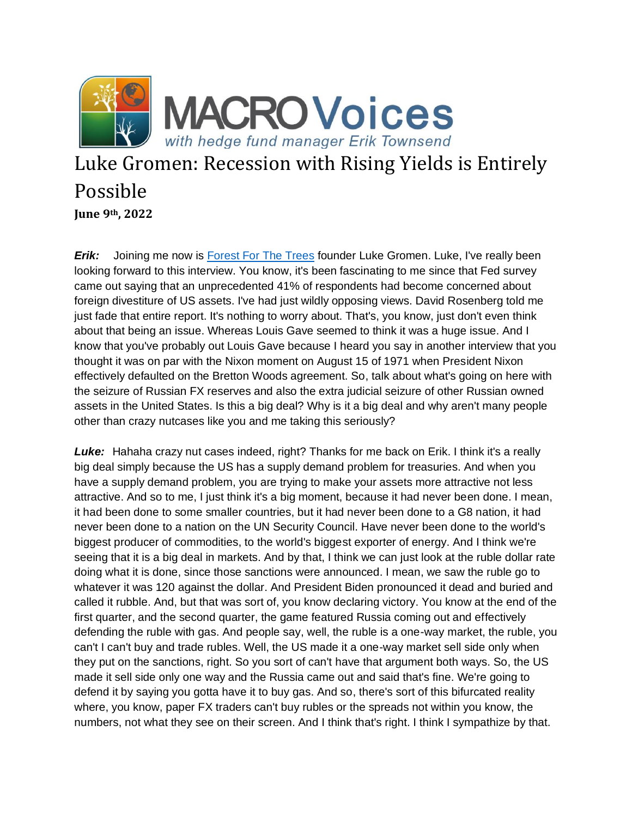

## Luke Gromen: Recession with Rising Yields is Entirely Possible **June 9th, 2022**

*Erik:* Joining me now is [Forest For The Trees](https://fftt-llc.com/) founder Luke Gromen. Luke, I've really been looking forward to this interview. You know, it's been fascinating to me since that Fed survey came out saying that an unprecedented 41% of respondents had become concerned about foreign divestiture of US assets. I've had just wildly opposing views. David Rosenberg told me just fade that entire report. It's nothing to worry about. That's, you know, just don't even think about that being an issue. Whereas Louis Gave seemed to think it was a huge issue. And I know that you've probably out Louis Gave because I heard you say in another interview that you thought it was on par with the Nixon moment on August 15 of 1971 when President Nixon effectively defaulted on the Bretton Woods agreement. So, talk about what's going on here with the seizure of Russian FX reserves and also the extra judicial seizure of other Russian owned assets in the United States. Is this a big deal? Why is it a big deal and why aren't many people other than crazy nutcases like you and me taking this seriously?

Luke: Hahaha crazy nut cases indeed, right? Thanks for me back on Erik. I think it's a really big deal simply because the US has a supply demand problem for treasuries. And when you have a supply demand problem, you are trying to make your assets more attractive not less attractive. And so to me, I just think it's a big moment, because it had never been done. I mean, it had been done to some smaller countries, but it had never been done to a G8 nation, it had never been done to a nation on the UN Security Council. Have never been done to the world's biggest producer of commodities, to the world's biggest exporter of energy. And I think we're seeing that it is a big deal in markets. And by that, I think we can just look at the ruble dollar rate doing what it is done, since those sanctions were announced. I mean, we saw the ruble go to whatever it was 120 against the dollar. And President Biden pronounced it dead and buried and called it rubble. And, but that was sort of, you know declaring victory. You know at the end of the first quarter, and the second quarter, the game featured Russia coming out and effectively defending the ruble with gas. And people say, well, the ruble is a one-way market, the ruble, you can't I can't buy and trade rubles. Well, the US made it a one-way market sell side only when they put on the sanctions, right. So you sort of can't have that argument both ways. So, the US made it sell side only one way and the Russia came out and said that's fine. We're going to defend it by saying you gotta have it to buy gas. And so, there's sort of this bifurcated reality where, you know, paper FX traders can't buy rubles or the spreads not within you know, the numbers, not what they see on their screen. And I think that's right. I think I sympathize by that.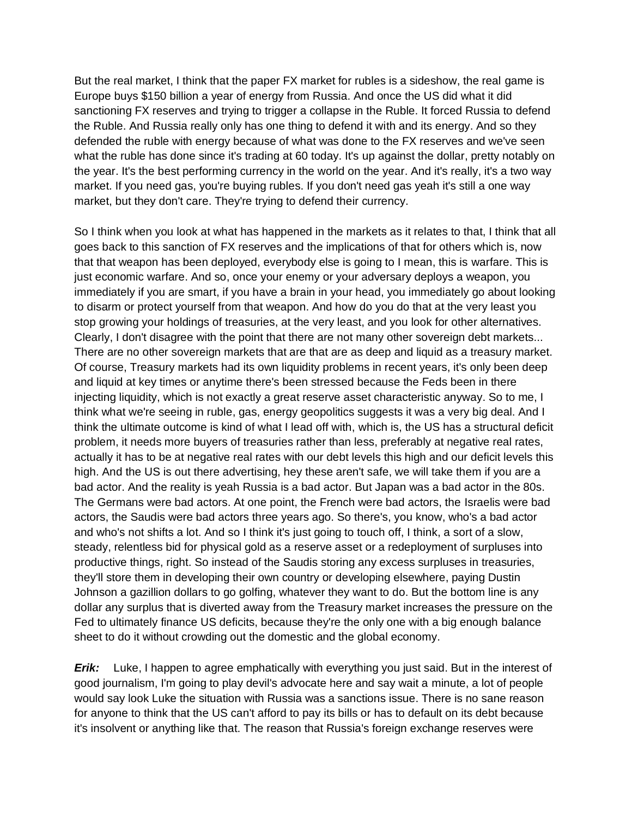But the real market, I think that the paper FX market for rubles is a sideshow, the real game is Europe buys \$150 billion a year of energy from Russia. And once the US did what it did sanctioning FX reserves and trying to trigger a collapse in the Ruble. It forced Russia to defend the Ruble. And Russia really only has one thing to defend it with and its energy. And so they defended the ruble with energy because of what was done to the FX reserves and we've seen what the ruble has done since it's trading at 60 today. It's up against the dollar, pretty notably on the year. It's the best performing currency in the world on the year. And it's really, it's a two way market. If you need gas, you're buying rubles. If you don't need gas yeah it's still a one way market, but they don't care. They're trying to defend their currency.

So I think when you look at what has happened in the markets as it relates to that, I think that all goes back to this sanction of FX reserves and the implications of that for others which is, now that that weapon has been deployed, everybody else is going to I mean, this is warfare. This is just economic warfare. And so, once your enemy or your adversary deploys a weapon, you immediately if you are smart, if you have a brain in your head, you immediately go about looking to disarm or protect yourself from that weapon. And how do you do that at the very least you stop growing your holdings of treasuries, at the very least, and you look for other alternatives. Clearly, I don't disagree with the point that there are not many other sovereign debt markets... There are no other sovereign markets that are that are as deep and liquid as a treasury market. Of course, Treasury markets had its own liquidity problems in recent years, it's only been deep and liquid at key times or anytime there's been stressed because the Feds been in there injecting liquidity, which is not exactly a great reserve asset characteristic anyway. So to me, I think what we're seeing in ruble, gas, energy geopolitics suggests it was a very big deal. And I think the ultimate outcome is kind of what I lead off with, which is, the US has a structural deficit problem, it needs more buyers of treasuries rather than less, preferably at negative real rates, actually it has to be at negative real rates with our debt levels this high and our deficit levels this high. And the US is out there advertising, hey these aren't safe, we will take them if you are a bad actor. And the reality is yeah Russia is a bad actor. But Japan was a bad actor in the 80s. The Germans were bad actors. At one point, the French were bad actors, the Israelis were bad actors, the Saudis were bad actors three years ago. So there's, you know, who's a bad actor and who's not shifts a lot. And so I think it's just going to touch off, I think, a sort of a slow, steady, relentless bid for physical gold as a reserve asset or a redeployment of surpluses into productive things, right. So instead of the Saudis storing any excess surpluses in treasuries, they'll store them in developing their own country or developing elsewhere, paying Dustin Johnson a gazillion dollars to go golfing, whatever they want to do. But the bottom line is any dollar any surplus that is diverted away from the Treasury market increases the pressure on the Fed to ultimately finance US deficits, because they're the only one with a big enough balance sheet to do it without crowding out the domestic and the global economy.

*Erik:* Luke, I happen to agree emphatically with everything you just said. But in the interest of good journalism, I'm going to play devil's advocate here and say wait a minute, a lot of people would say look Luke the situation with Russia was a sanctions issue. There is no sane reason for anyone to think that the US can't afford to pay its bills or has to default on its debt because it's insolvent or anything like that. The reason that Russia's foreign exchange reserves were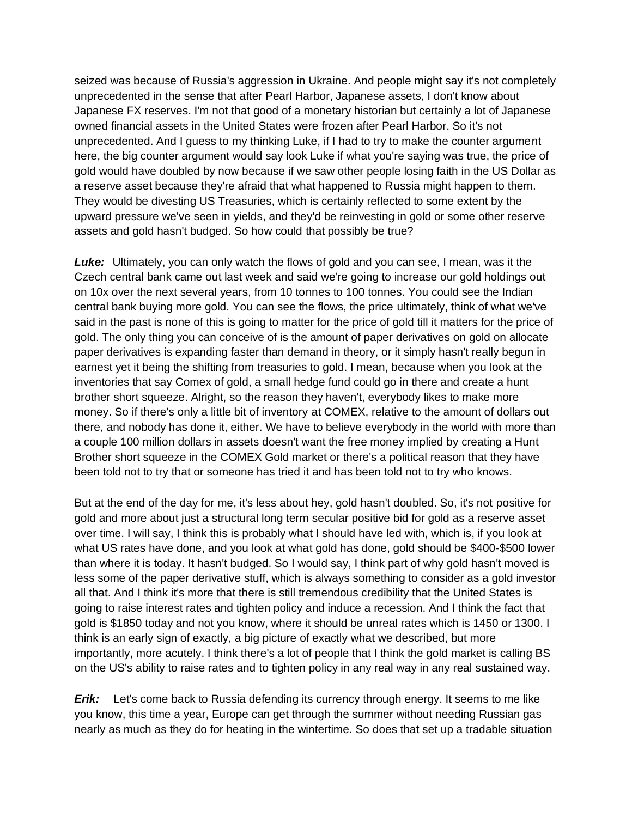seized was because of Russia's aggression in Ukraine. And people might say it's not completely unprecedented in the sense that after Pearl Harbor, Japanese assets, I don't know about Japanese FX reserves. I'm not that good of a monetary historian but certainly a lot of Japanese owned financial assets in the United States were frozen after Pearl Harbor. So it's not unprecedented. And I guess to my thinking Luke, if I had to try to make the counter argument here, the big counter argument would say look Luke if what you're saying was true, the price of gold would have doubled by now because if we saw other people losing faith in the US Dollar as a reserve asset because they're afraid that what happened to Russia might happen to them. They would be divesting US Treasuries, which is certainly reflected to some extent by the upward pressure we've seen in yields, and they'd be reinvesting in gold or some other reserve assets and gold hasn't budged. So how could that possibly be true?

**Luke:** Ultimately, you can only watch the flows of gold and you can see, I mean, was it the Czech central bank came out last week and said we're going to increase our gold holdings out on 10x over the next several years, from 10 tonnes to 100 tonnes. You could see the Indian central bank buying more gold. You can see the flows, the price ultimately, think of what we've said in the past is none of this is going to matter for the price of gold till it matters for the price of gold. The only thing you can conceive of is the amount of paper derivatives on gold on allocate paper derivatives is expanding faster than demand in theory, or it simply hasn't really begun in earnest yet it being the shifting from treasuries to gold. I mean, because when you look at the inventories that say Comex of gold, a small hedge fund could go in there and create a hunt brother short squeeze. Alright, so the reason they haven't, everybody likes to make more money. So if there's only a little bit of inventory at COMEX, relative to the amount of dollars out there, and nobody has done it, either. We have to believe everybody in the world with more than a couple 100 million dollars in assets doesn't want the free money implied by creating a Hunt Brother short squeeze in the COMEX Gold market or there's a political reason that they have been told not to try that or someone has tried it and has been told not to try who knows.

But at the end of the day for me, it's less about hey, gold hasn't doubled. So, it's not positive for gold and more about just a structural long term secular positive bid for gold as a reserve asset over time. I will say, I think this is probably what I should have led with, which is, if you look at what US rates have done, and you look at what gold has done, gold should be \$400-\$500 lower than where it is today. It hasn't budged. So I would say, I think part of why gold hasn't moved is less some of the paper derivative stuff, which is always something to consider as a gold investor all that. And I think it's more that there is still tremendous credibility that the United States is going to raise interest rates and tighten policy and induce a recession. And I think the fact that gold is \$1850 today and not you know, where it should be unreal rates which is 1450 or 1300. I think is an early sign of exactly, a big picture of exactly what we described, but more importantly, more acutely. I think there's a lot of people that I think the gold market is calling BS on the US's ability to raise rates and to tighten policy in any real way in any real sustained way.

*Erik:* Let's come back to Russia defending its currency through energy. It seems to me like you know, this time a year, Europe can get through the summer without needing Russian gas nearly as much as they do for heating in the wintertime. So does that set up a tradable situation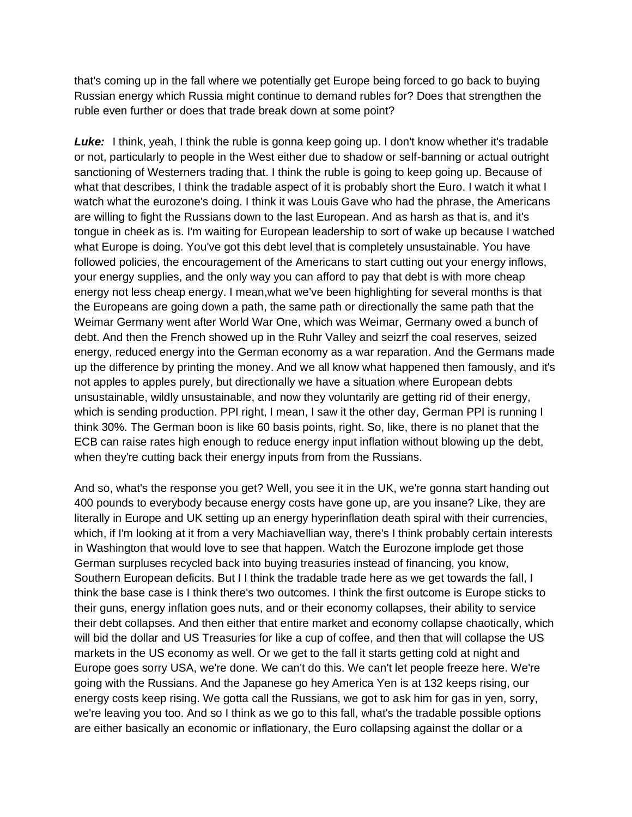that's coming up in the fall where we potentially get Europe being forced to go back to buying Russian energy which Russia might continue to demand rubles for? Does that strengthen the ruble even further or does that trade break down at some point?

Luke: I think, yeah, I think the ruble is gonna keep going up. I don't know whether it's tradable or not, particularly to people in the West either due to shadow or self-banning or actual outright sanctioning of Westerners trading that. I think the ruble is going to keep going up. Because of what that describes, I think the tradable aspect of it is probably short the Euro. I watch it what I watch what the eurozone's doing. I think it was Louis Gave who had the phrase, the Americans are willing to fight the Russians down to the last European. And as harsh as that is, and it's tongue in cheek as is. I'm waiting for European leadership to sort of wake up because I watched what Europe is doing. You've got this debt level that is completely unsustainable. You have followed policies, the encouragement of the Americans to start cutting out your energy inflows, your energy supplies, and the only way you can afford to pay that debt is with more cheap energy not less cheap energy. I mean,what we've been highlighting for several months is that the Europeans are going down a path, the same path or directionally the same path that the Weimar Germany went after World War One, which was Weimar, Germany owed a bunch of debt. And then the French showed up in the Ruhr Valley and seizrf the coal reserves, seized energy, reduced energy into the German economy as a war reparation. And the Germans made up the difference by printing the money. And we all know what happened then famously, and it's not apples to apples purely, but directionally we have a situation where European debts unsustainable, wildly unsustainable, and now they voluntarily are getting rid of their energy, which is sending production. PPI right, I mean, I saw it the other day, German PPI is running I think 30%. The German boon is like 60 basis points, right. So, like, there is no planet that the ECB can raise rates high enough to reduce energy input inflation without blowing up the debt, when they're cutting back their energy inputs from from the Russians.

And so, what's the response you get? Well, you see it in the UK, we're gonna start handing out 400 pounds to everybody because energy costs have gone up, are you insane? Like, they are literally in Europe and UK setting up an energy hyperinflation death spiral with their currencies, which, if I'm looking at it from a very Machiavellian way, there's I think probably certain interests in Washington that would love to see that happen. Watch the Eurozone implode get those German surpluses recycled back into buying treasuries instead of financing, you know, Southern European deficits. But I I think the tradable trade here as we get towards the fall, I think the base case is I think there's two outcomes. I think the first outcome is Europe sticks to their guns, energy inflation goes nuts, and or their economy collapses, their ability to service their debt collapses. And then either that entire market and economy collapse chaotically, which will bid the dollar and US Treasuries for like a cup of coffee, and then that will collapse the US markets in the US economy as well. Or we get to the fall it starts getting cold at night and Europe goes sorry USA, we're done. We can't do this. We can't let people freeze here. We're going with the Russians. And the Japanese go hey America Yen is at 132 keeps rising, our energy costs keep rising. We gotta call the Russians, we got to ask him for gas in yen, sorry, we're leaving you too. And so I think as we go to this fall, what's the tradable possible options are either basically an economic or inflationary, the Euro collapsing against the dollar or a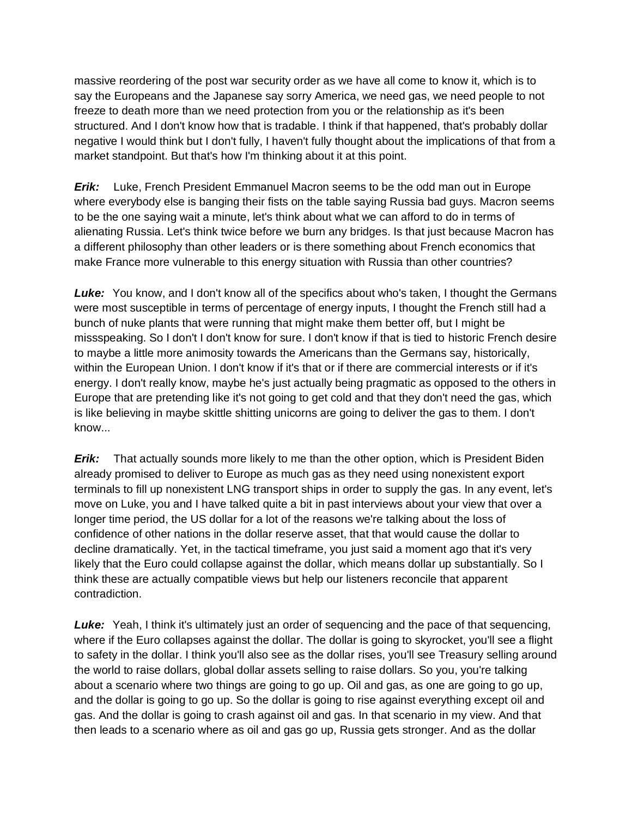massive reordering of the post war security order as we have all come to know it, which is to say the Europeans and the Japanese say sorry America, we need gas, we need people to not freeze to death more than we need protection from you or the relationship as it's been structured. And I don't know how that is tradable. I think if that happened, that's probably dollar negative I would think but I don't fully, I haven't fully thought about the implications of that from a market standpoint. But that's how I'm thinking about it at this point.

*Erik:* Luke, French President Emmanuel Macron seems to be the odd man out in Europe where everybody else is banging their fists on the table saying Russia bad guys. Macron seems to be the one saying wait a minute, let's think about what we can afford to do in terms of alienating Russia. Let's think twice before we burn any bridges. Is that just because Macron has a different philosophy than other leaders or is there something about French economics that make France more vulnerable to this energy situation with Russia than other countries?

**Luke:** You know, and I don't know all of the specifics about who's taken, I thought the Germans were most susceptible in terms of percentage of energy inputs, I thought the French still had a bunch of nuke plants that were running that might make them better off, but I might be missspeaking. So I don't I don't know for sure. I don't know if that is tied to historic French desire to maybe a little more animosity towards the Americans than the Germans say, historically, within the European Union. I don't know if it's that or if there are commercial interests or if it's energy. I don't really know, maybe he's just actually being pragmatic as opposed to the others in Europe that are pretending like it's not going to get cold and that they don't need the gas, which is like believing in maybe skittle shitting unicorns are going to deliver the gas to them. I don't know...

*Erik:* That actually sounds more likely to me than the other option, which is President Biden already promised to deliver to Europe as much gas as they need using nonexistent export terminals to fill up nonexistent LNG transport ships in order to supply the gas. In any event, let's move on Luke, you and I have talked quite a bit in past interviews about your view that over a longer time period, the US dollar for a lot of the reasons we're talking about the loss of confidence of other nations in the dollar reserve asset, that that would cause the dollar to decline dramatically. Yet, in the tactical timeframe, you just said a moment ago that it's very likely that the Euro could collapse against the dollar, which means dollar up substantially. So I think these are actually compatible views but help our listeners reconcile that apparent contradiction.

**Luke:** Yeah, I think it's ultimately just an order of sequencing and the pace of that sequencing, where if the Euro collapses against the dollar. The dollar is going to skyrocket, you'll see a flight to safety in the dollar. I think you'll also see as the dollar rises, you'll see Treasury selling around the world to raise dollars, global dollar assets selling to raise dollars. So you, you're talking about a scenario where two things are going to go up. Oil and gas, as one are going to go up, and the dollar is going to go up. So the dollar is going to rise against everything except oil and gas. And the dollar is going to crash against oil and gas. In that scenario in my view. And that then leads to a scenario where as oil and gas go up, Russia gets stronger. And as the dollar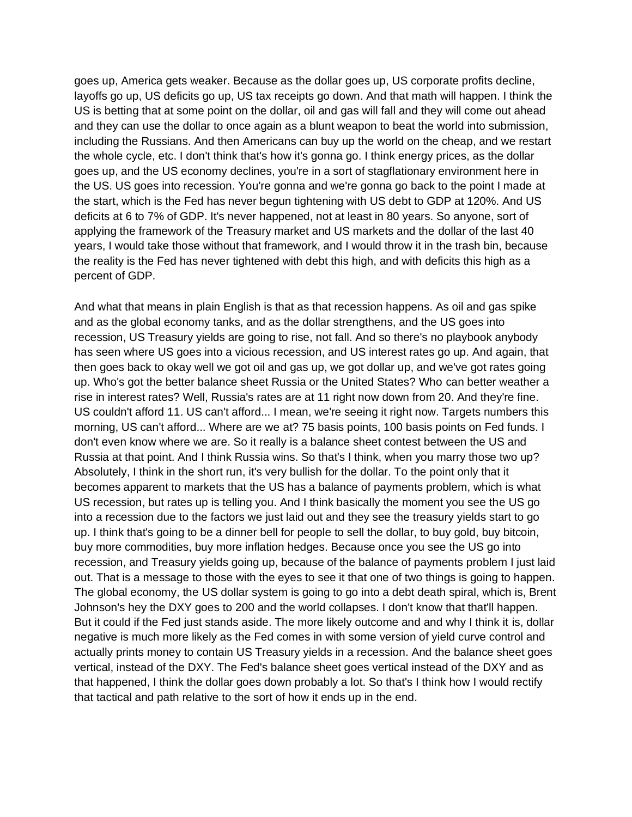goes up, America gets weaker. Because as the dollar goes up, US corporate profits decline, layoffs go up, US deficits go up, US tax receipts go down. And that math will happen. I think the US is betting that at some point on the dollar, oil and gas will fall and they will come out ahead and they can use the dollar to once again as a blunt weapon to beat the world into submission, including the Russians. And then Americans can buy up the world on the cheap, and we restart the whole cycle, etc. I don't think that's how it's gonna go. I think energy prices, as the dollar goes up, and the US economy declines, you're in a sort of stagflationary environment here in the US. US goes into recession. You're gonna and we're gonna go back to the point I made at the start, which is the Fed has never begun tightening with US debt to GDP at 120%. And US deficits at 6 to 7% of GDP. It's never happened, not at least in 80 years. So anyone, sort of applying the framework of the Treasury market and US markets and the dollar of the last 40 years, I would take those without that framework, and I would throw it in the trash bin, because the reality is the Fed has never tightened with debt this high, and with deficits this high as a percent of GDP.

And what that means in plain English is that as that recession happens. As oil and gas spike and as the global economy tanks, and as the dollar strengthens, and the US goes into recession, US Treasury yields are going to rise, not fall. And so there's no playbook anybody has seen where US goes into a vicious recession, and US interest rates go up. And again, that then goes back to okay well we got oil and gas up, we got dollar up, and we've got rates going up. Who's got the better balance sheet Russia or the United States? Who can better weather a rise in interest rates? Well, Russia's rates are at 11 right now down from 20. And they're fine. US couldn't afford 11. US can't afford... I mean, we're seeing it right now. Targets numbers this morning, US can't afford... Where are we at? 75 basis points, 100 basis points on Fed funds. I don't even know where we are. So it really is a balance sheet contest between the US and Russia at that point. And I think Russia wins. So that's I think, when you marry those two up? Absolutely, I think in the short run, it's very bullish for the dollar. To the point only that it becomes apparent to markets that the US has a balance of payments problem, which is what US recession, but rates up is telling you. And I think basically the moment you see the US go into a recession due to the factors we just laid out and they see the treasury yields start to go up. I think that's going to be a dinner bell for people to sell the dollar, to buy gold, buy bitcoin, buy more commodities, buy more inflation hedges. Because once you see the US go into recession, and Treasury yields going up, because of the balance of payments problem I just laid out. That is a message to those with the eyes to see it that one of two things is going to happen. The global economy, the US dollar system is going to go into a debt death spiral, which is, Brent Johnson's hey the DXY goes to 200 and the world collapses. I don't know that that'll happen. But it could if the Fed just stands aside. The more likely outcome and and why I think it is, dollar negative is much more likely as the Fed comes in with some version of yield curve control and actually prints money to contain US Treasury yields in a recession. And the balance sheet goes vertical, instead of the DXY. The Fed's balance sheet goes vertical instead of the DXY and as that happened, I think the dollar goes down probably a lot. So that's I think how I would rectify that tactical and path relative to the sort of how it ends up in the end.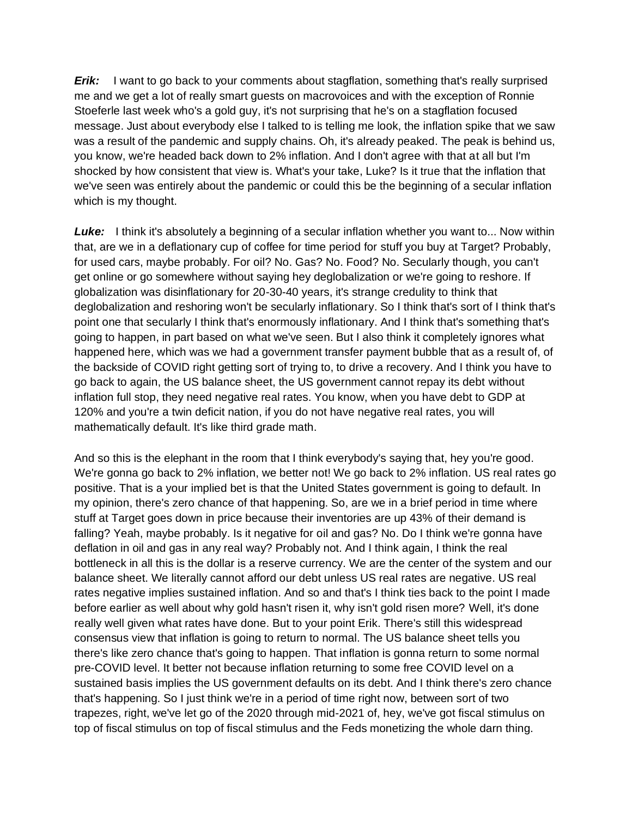*Erik:* I want to go back to your comments about stagflation, something that's really surprised me and we get a lot of really smart guests on macrovoices and with the exception of Ronnie Stoeferle last week who's a gold guy, it's not surprising that he's on a stagflation focused message. Just about everybody else I talked to is telling me look, the inflation spike that we saw was a result of the pandemic and supply chains. Oh, it's already peaked. The peak is behind us, you know, we're headed back down to 2% inflation. And I don't agree with that at all but I'm shocked by how consistent that view is. What's your take, Luke? Is it true that the inflation that we've seen was entirely about the pandemic or could this be the beginning of a secular inflation which is my thought.

**Luke:** I think it's absolutely a beginning of a secular inflation whether you want to... Now within that, are we in a deflationary cup of coffee for time period for stuff you buy at Target? Probably, for used cars, maybe probably. For oil? No. Gas? No. Food? No. Secularly though, you can't get online or go somewhere without saying hey deglobalization or we're going to reshore. If globalization was disinflationary for 20-30-40 years, it's strange credulity to think that deglobalization and reshoring won't be secularly inflationary. So I think that's sort of I think that's point one that secularly I think that's enormously inflationary. And I think that's something that's going to happen, in part based on what we've seen. But I also think it completely ignores what happened here, which was we had a government transfer payment bubble that as a result of, of the backside of COVID right getting sort of trying to, to drive a recovery. And I think you have to go back to again, the US balance sheet, the US government cannot repay its debt without inflation full stop, they need negative real rates. You know, when you have debt to GDP at 120% and you're a twin deficit nation, if you do not have negative real rates, you will mathematically default. It's like third grade math.

And so this is the elephant in the room that I think everybody's saying that, hey you're good. We're gonna go back to 2% inflation, we better not! We go back to 2% inflation. US real rates go positive. That is a your implied bet is that the United States government is going to default. In my opinion, there's zero chance of that happening. So, are we in a brief period in time where stuff at Target goes down in price because their inventories are up 43% of their demand is falling? Yeah, maybe probably. Is it negative for oil and gas? No. Do I think we're gonna have deflation in oil and gas in any real way? Probably not. And I think again, I think the real bottleneck in all this is the dollar is a reserve currency. We are the center of the system and our balance sheet. We literally cannot afford our debt unless US real rates are negative. US real rates negative implies sustained inflation. And so and that's I think ties back to the point I made before earlier as well about why gold hasn't risen it, why isn't gold risen more? Well, it's done really well given what rates have done. But to your point Erik. There's still this widespread consensus view that inflation is going to return to normal. The US balance sheet tells you there's like zero chance that's going to happen. That inflation is gonna return to some normal pre-COVID level. It better not because inflation returning to some free COVID level on a sustained basis implies the US government defaults on its debt. And I think there's zero chance that's happening. So I just think we're in a period of time right now, between sort of two trapezes, right, we've let go of the 2020 through mid-2021 of, hey, we've got fiscal stimulus on top of fiscal stimulus on top of fiscal stimulus and the Feds monetizing the whole darn thing.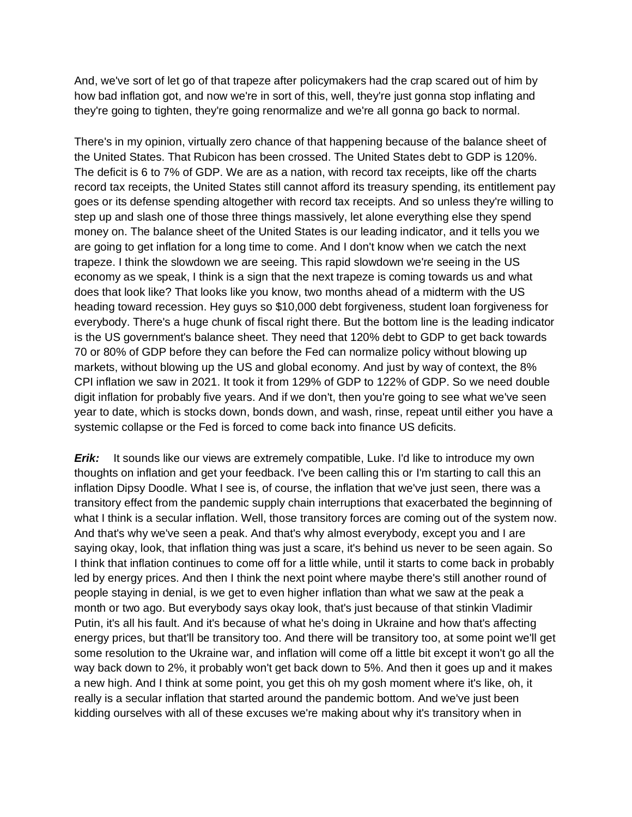And, we've sort of let go of that trapeze after policymakers had the crap scared out of him by how bad inflation got, and now we're in sort of this, well, they're just gonna stop inflating and they're going to tighten, they're going renormalize and we're all gonna go back to normal.

There's in my opinion, virtually zero chance of that happening because of the balance sheet of the United States. That Rubicon has been crossed. The United States debt to GDP is 120%. The deficit is 6 to 7% of GDP. We are as a nation, with record tax receipts, like off the charts record tax receipts, the United States still cannot afford its treasury spending, its entitlement pay goes or its defense spending altogether with record tax receipts. And so unless they're willing to step up and slash one of those three things massively, let alone everything else they spend money on. The balance sheet of the United States is our leading indicator, and it tells you we are going to get inflation for a long time to come. And I don't know when we catch the next trapeze. I think the slowdown we are seeing. This rapid slowdown we're seeing in the US economy as we speak, I think is a sign that the next trapeze is coming towards us and what does that look like? That looks like you know, two months ahead of a midterm with the US heading toward recession. Hey guys so \$10,000 debt forgiveness, student loan forgiveness for everybody. There's a huge chunk of fiscal right there. But the bottom line is the leading indicator is the US government's balance sheet. They need that 120% debt to GDP to get back towards 70 or 80% of GDP before they can before the Fed can normalize policy without blowing up markets, without blowing up the US and global economy. And just by way of context, the 8% CPI inflation we saw in 2021. It took it from 129% of GDP to 122% of GDP. So we need double digit inflation for probably five years. And if we don't, then you're going to see what we've seen year to date, which is stocks down, bonds down, and wash, rinse, repeat until either you have a systemic collapse or the Fed is forced to come back into finance US deficits.

**Erik:** It sounds like our views are extremely compatible, Luke. I'd like to introduce my own thoughts on inflation and get your feedback. I've been calling this or I'm starting to call this an inflation Dipsy Doodle. What I see is, of course, the inflation that we've just seen, there was a transitory effect from the pandemic supply chain interruptions that exacerbated the beginning of what I think is a secular inflation. Well, those transitory forces are coming out of the system now. And that's why we've seen a peak. And that's why almost everybody, except you and I are saying okay, look, that inflation thing was just a scare, it's behind us never to be seen again. So I think that inflation continues to come off for a little while, until it starts to come back in probably led by energy prices. And then I think the next point where maybe there's still another round of people staying in denial, is we get to even higher inflation than what we saw at the peak a month or two ago. But everybody says okay look, that's just because of that stinkin Vladimir Putin, it's all his fault. And it's because of what he's doing in Ukraine and how that's affecting energy prices, but that'll be transitory too. And there will be transitory too, at some point we'll get some resolution to the Ukraine war, and inflation will come off a little bit except it won't go all the way back down to 2%, it probably won't get back down to 5%. And then it goes up and it makes a new high. And I think at some point, you get this oh my gosh moment where it's like, oh, it really is a secular inflation that started around the pandemic bottom. And we've just been kidding ourselves with all of these excuses we're making about why it's transitory when in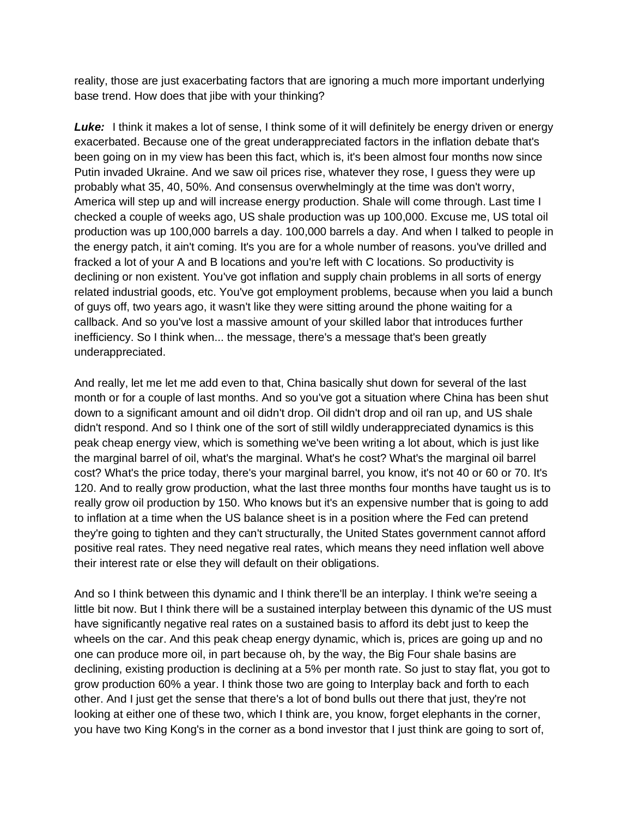reality, those are just exacerbating factors that are ignoring a much more important underlying base trend. How does that jibe with your thinking?

**Luke:** I think it makes a lot of sense, I think some of it will definitely be energy driven or energy exacerbated. Because one of the great underappreciated factors in the inflation debate that's been going on in my view has been this fact, which is, it's been almost four months now since Putin invaded Ukraine. And we saw oil prices rise, whatever they rose, I guess they were up probably what 35, 40, 50%. And consensus overwhelmingly at the time was don't worry, America will step up and will increase energy production. Shale will come through. Last time I checked a couple of weeks ago, US shale production was up 100,000. Excuse me, US total oil production was up 100,000 barrels a day. 100,000 barrels a day. And when I talked to people in the energy patch, it ain't coming. It's you are for a whole number of reasons. you've drilled and fracked a lot of your A and B locations and you're left with C locations. So productivity is declining or non existent. You've got inflation and supply chain problems in all sorts of energy related industrial goods, etc. You've got employment problems, because when you laid a bunch of guys off, two years ago, it wasn't like they were sitting around the phone waiting for a callback. And so you've lost a massive amount of your skilled labor that introduces further inefficiency. So I think when... the message, there's a message that's been greatly underappreciated.

And really, let me let me add even to that, China basically shut down for several of the last month or for a couple of last months. And so you've got a situation where China has been shut down to a significant amount and oil didn't drop. Oil didn't drop and oil ran up, and US shale didn't respond. And so I think one of the sort of still wildly underappreciated dynamics is this peak cheap energy view, which is something we've been writing a lot about, which is just like the marginal barrel of oil, what's the marginal. What's he cost? What's the marginal oil barrel cost? What's the price today, there's your marginal barrel, you know, it's not 40 or 60 or 70. It's 120. And to really grow production, what the last three months four months have taught us is to really grow oil production by 150. Who knows but it's an expensive number that is going to add to inflation at a time when the US balance sheet is in a position where the Fed can pretend they're going to tighten and they can't structurally, the United States government cannot afford positive real rates. They need negative real rates, which means they need inflation well above their interest rate or else they will default on their obligations.

And so I think between this dynamic and I think there'll be an interplay. I think we're seeing a little bit now. But I think there will be a sustained interplay between this dynamic of the US must have significantly negative real rates on a sustained basis to afford its debt just to keep the wheels on the car. And this peak cheap energy dynamic, which is, prices are going up and no one can produce more oil, in part because oh, by the way, the Big Four shale basins are declining, existing production is declining at a 5% per month rate. So just to stay flat, you got to grow production 60% a year. I think those two are going to Interplay back and forth to each other. And I just get the sense that there's a lot of bond bulls out there that just, they're not looking at either one of these two, which I think are, you know, forget elephants in the corner, you have two King Kong's in the corner as a bond investor that I just think are going to sort of,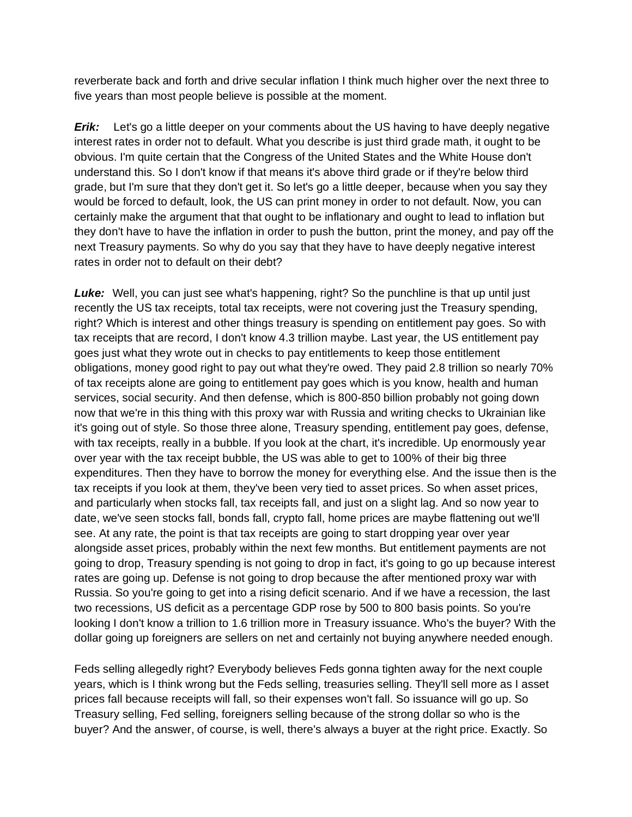reverberate back and forth and drive secular inflation I think much higher over the next three to five years than most people believe is possible at the moment.

*Erik:* Let's go a little deeper on your comments about the US having to have deeply negative interest rates in order not to default. What you describe is just third grade math, it ought to be obvious. I'm quite certain that the Congress of the United States and the White House don't understand this. So I don't know if that means it's above third grade or if they're below third grade, but I'm sure that they don't get it. So let's go a little deeper, because when you say they would be forced to default, look, the US can print money in order to not default. Now, you can certainly make the argument that that ought to be inflationary and ought to lead to inflation but they don't have to have the inflation in order to push the button, print the money, and pay off the next Treasury payments. So why do you say that they have to have deeply negative interest rates in order not to default on their debt?

**Luke:** Well, you can just see what's happening, right? So the punchline is that up until just recently the US tax receipts, total tax receipts, were not covering just the Treasury spending, right? Which is interest and other things treasury is spending on entitlement pay goes. So with tax receipts that are record, I don't know 4.3 trillion maybe. Last year, the US entitlement pay goes just what they wrote out in checks to pay entitlements to keep those entitlement obligations, money good right to pay out what they're owed. They paid 2.8 trillion so nearly 70% of tax receipts alone are going to entitlement pay goes which is you know, health and human services, social security. And then defense, which is 800-850 billion probably not going down now that we're in this thing with this proxy war with Russia and writing checks to Ukrainian like it's going out of style. So those three alone, Treasury spending, entitlement pay goes, defense, with tax receipts, really in a bubble. If you look at the chart, it's incredible. Up enormously year over year with the tax receipt bubble, the US was able to get to 100% of their big three expenditures. Then they have to borrow the money for everything else. And the issue then is the tax receipts if you look at them, they've been very tied to asset prices. So when asset prices, and particularly when stocks fall, tax receipts fall, and just on a slight lag. And so now year to date, we've seen stocks fall, bonds fall, crypto fall, home prices are maybe flattening out we'll see. At any rate, the point is that tax receipts are going to start dropping year over year alongside asset prices, probably within the next few months. But entitlement payments are not going to drop, Treasury spending is not going to drop in fact, it's going to go up because interest rates are going up. Defense is not going to drop because the after mentioned proxy war with Russia. So you're going to get into a rising deficit scenario. And if we have a recession, the last two recessions, US deficit as a percentage GDP rose by 500 to 800 basis points. So you're looking I don't know a trillion to 1.6 trillion more in Treasury issuance. Who's the buyer? With the dollar going up foreigners are sellers on net and certainly not buying anywhere needed enough.

Feds selling allegedly right? Everybody believes Feds gonna tighten away for the next couple years, which is I think wrong but the Feds selling, treasuries selling. They'll sell more as I asset prices fall because receipts will fall, so their expenses won't fall. So issuance will go up. So Treasury selling, Fed selling, foreigners selling because of the strong dollar so who is the buyer? And the answer, of course, is well, there's always a buyer at the right price. Exactly. So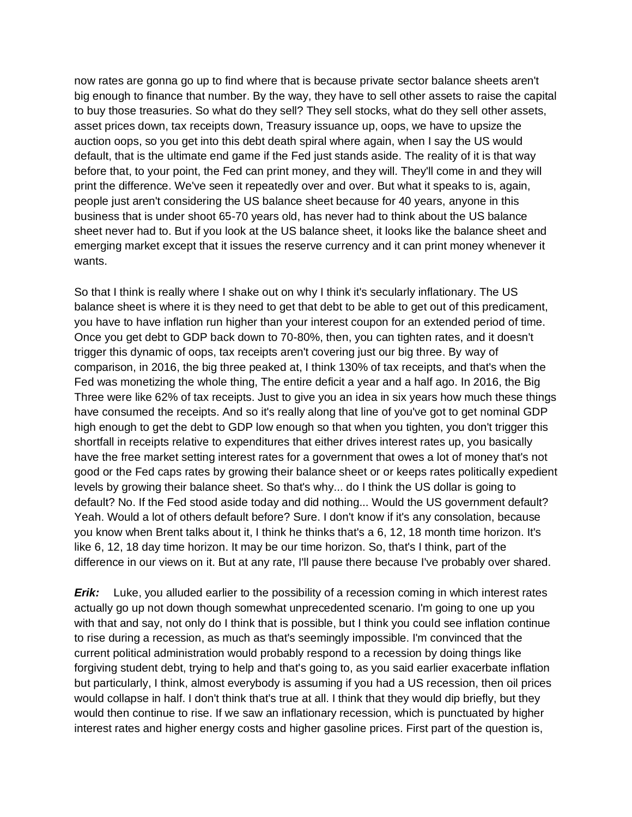now rates are gonna go up to find where that is because private sector balance sheets aren't big enough to finance that number. By the way, they have to sell other assets to raise the capital to buy those treasuries. So what do they sell? They sell stocks, what do they sell other assets, asset prices down, tax receipts down, Treasury issuance up, oops, we have to upsize the auction oops, so you get into this debt death spiral where again, when I say the US would default, that is the ultimate end game if the Fed just stands aside. The reality of it is that way before that, to your point, the Fed can print money, and they will. They'll come in and they will print the difference. We've seen it repeatedly over and over. But what it speaks to is, again, people just aren't considering the US balance sheet because for 40 years, anyone in this business that is under shoot 65-70 years old, has never had to think about the US balance sheet never had to. But if you look at the US balance sheet, it looks like the balance sheet and emerging market except that it issues the reserve currency and it can print money whenever it wants.

So that I think is really where I shake out on why I think it's secularly inflationary. The US balance sheet is where it is they need to get that debt to be able to get out of this predicament, you have to have inflation run higher than your interest coupon for an extended period of time. Once you get debt to GDP back down to 70-80%, then, you can tighten rates, and it doesn't trigger this dynamic of oops, tax receipts aren't covering just our big three. By way of comparison, in 2016, the big three peaked at, I think 130% of tax receipts, and that's when the Fed was monetizing the whole thing, The entire deficit a year and a half ago. In 2016, the Big Three were like 62% of tax receipts. Just to give you an idea in six years how much these things have consumed the receipts. And so it's really along that line of you've got to get nominal GDP high enough to get the debt to GDP low enough so that when you tighten, you don't trigger this shortfall in receipts relative to expenditures that either drives interest rates up, you basically have the free market setting interest rates for a government that owes a lot of money that's not good or the Fed caps rates by growing their balance sheet or or keeps rates politically expedient levels by growing their balance sheet. So that's why... do I think the US dollar is going to default? No. If the Fed stood aside today and did nothing... Would the US government default? Yeah. Would a lot of others default before? Sure. I don't know if it's any consolation, because you know when Brent talks about it, I think he thinks that's a 6, 12, 18 month time horizon. It's like 6, 12, 18 day time horizon. It may be our time horizon. So, that's I think, part of the difference in our views on it. But at any rate, I'll pause there because I've probably over shared.

*Erik:* Luke, you alluded earlier to the possibility of a recession coming in which interest rates actually go up not down though somewhat unprecedented scenario. I'm going to one up you with that and say, not only do I think that is possible, but I think you could see inflation continue to rise during a recession, as much as that's seemingly impossible. I'm convinced that the current political administration would probably respond to a recession by doing things like forgiving student debt, trying to help and that's going to, as you said earlier exacerbate inflation but particularly, I think, almost everybody is assuming if you had a US recession, then oil prices would collapse in half. I don't think that's true at all. I think that they would dip briefly, but they would then continue to rise. If we saw an inflationary recession, which is punctuated by higher interest rates and higher energy costs and higher gasoline prices. First part of the question is,